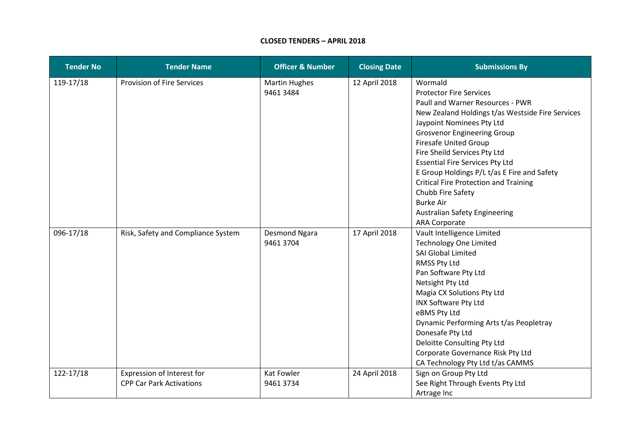## **Tender No Tender Name Officer & Number Closing Date Submissions By** 119-17/18 Provision of Fire Services Martin Hughes 9461 3484 12 April 2018 | Wormald Protector Fire Services Paull and Warner Resources - PWR New Zealand Holdings t/as Westside Fire Services Jaypoint Nominees Pty Ltd Grosvenor Engineering Group Firesafe United Group Fire Sheild Services Pty Ltd Essential Fire Services Pty Ltd E Group Holdings P/L t/as E Fire and Safety Critical Fire Protection and Training Chubb Fire Safety Burke Air Australian Safety Engineering ARA Corporate 096-17/18 Risk, Safety and Compliance System Desmond Ngara 9461 3704 17 April 2018 | Vault Intelligence Limited Technology One Limited SAI Global Limited RMSS Pty Ltd Pan Software Pty Ltd Netsight Pty Ltd Magia CX Solutions Pty Ltd INX Software Pty Ltd eBMS Pty Ltd Dynamic Performing Arts t/as Peopletray Donesafe Pty Ltd Deloitte Consulting Pty Ltd Corporate Governance Risk Pty Ltd CA Technology Pty Ltd t/as CAMMS 122-17/18 Expression of Interest for CPP Car Park Activations Kat Fowler 9461 3734 24 April 2018 | Sign on Group Pty Ltd See Right Through Events Pty Ltd Artrage Inc

## **CLOSED TENDERS – APRIL 2018**